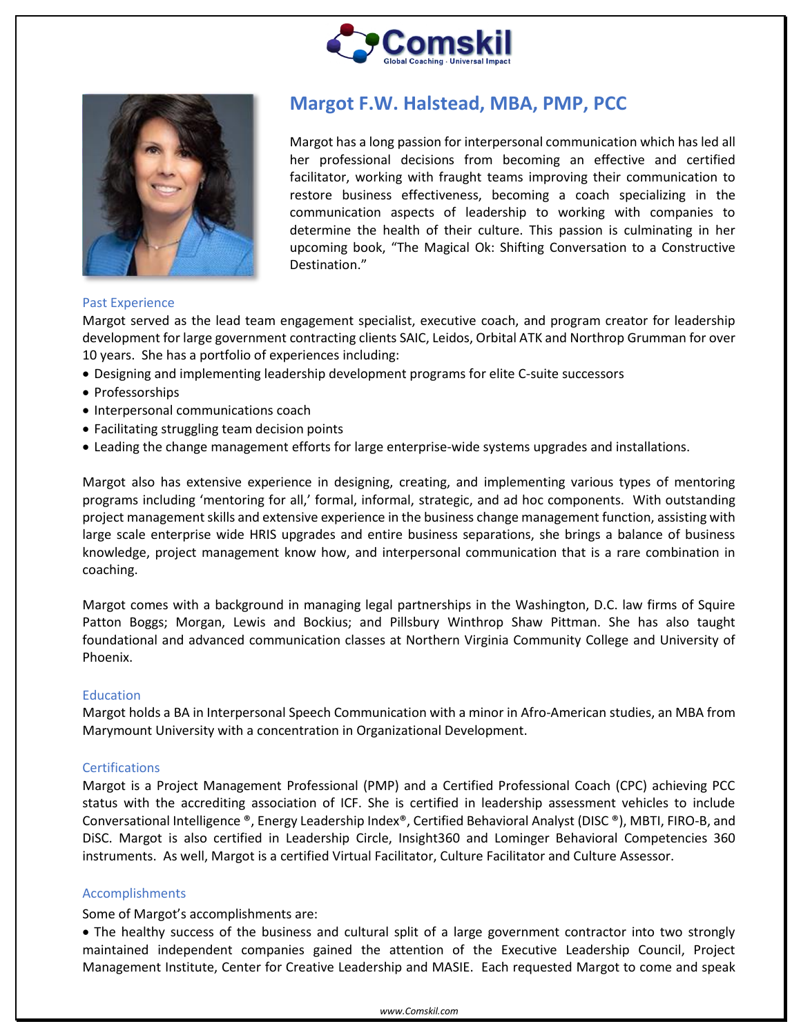



# **Margot F.W. Halstead, MBA, PMP, PCC**

Margot has a long passion for interpersonal communication which has led all her professional decisions from becoming an effective and certified facilitator, working with fraught teams improving their communication to restore business effectiveness, becoming a coach specializing in the communication aspects of leadership to working with companies to determine the health of their culture. This passion is culminating in her upcoming book, "The Magical Ok: Shifting Conversation to a Constructive Destination."

## Past Experience

Margot served as the lead team engagement specialist, executive coach, and program creator for leadership development for large government contracting clients SAIC, Leidos, Orbital ATK and Northrop Grumman for over 10 years. She has a portfolio of experiences including:

- Designing and implementing leadership development programs for elite C-suite successors
- Professorships
- Interpersonal communications coach
- Facilitating struggling team decision points
- Leading the change management efforts for large enterprise-wide systems upgrades and installations.

Margot also has extensive experience in designing, creating, and implementing various types of mentoring programs including 'mentoring for all,' formal, informal, strategic, and ad hoc components. With outstanding project management skills and extensive experience in the business change management function, assisting with large scale enterprise wide HRIS upgrades and entire business separations, she brings a balance of business knowledge, project management know how, and interpersonal communication that is a rare combination in coaching.

Margot comes with a background in managing legal partnerships in the Washington, D.C. law firms of Squire Patton Boggs; Morgan, Lewis and Bockius; and Pillsbury Winthrop Shaw Pittman. She has also taught foundational and advanced communication classes at Northern Virginia Community College and University of Phoenix.

### **Education**

Margot holds a BA in Interpersonal Speech Communication with a minor in Afro-American studies, an MBA from Marymount University with a concentration in Organizational Development.

### **Certifications**

Margot is a Project Management Professional (PMP) and a Certified Professional Coach (CPC) achieving PCC status with the accrediting association of ICF. She is certified in leadership assessment vehicles to include Conversational Intelligence ®, Energy Leadership Index®, Certified Behavioral Analyst (DISC ®), MBTI, FIRO-B, and DiSC. Margot is also certified in Leadership Circle, Insight360 and Lominger Behavioral Competencies 360 instruments. As well, Margot is a certified Virtual Facilitator, Culture Facilitator and Culture Assessor.

### Accomplishments

### Some of Margot's accomplishments are:

• The healthy success of the business and cultural split of a large government contractor into two strongly maintained independent companies gained the attention of the Executive Leadership Council, Project Management Institute, Center for Creative Leadership and MASIE. Each requested Margot to come and speak